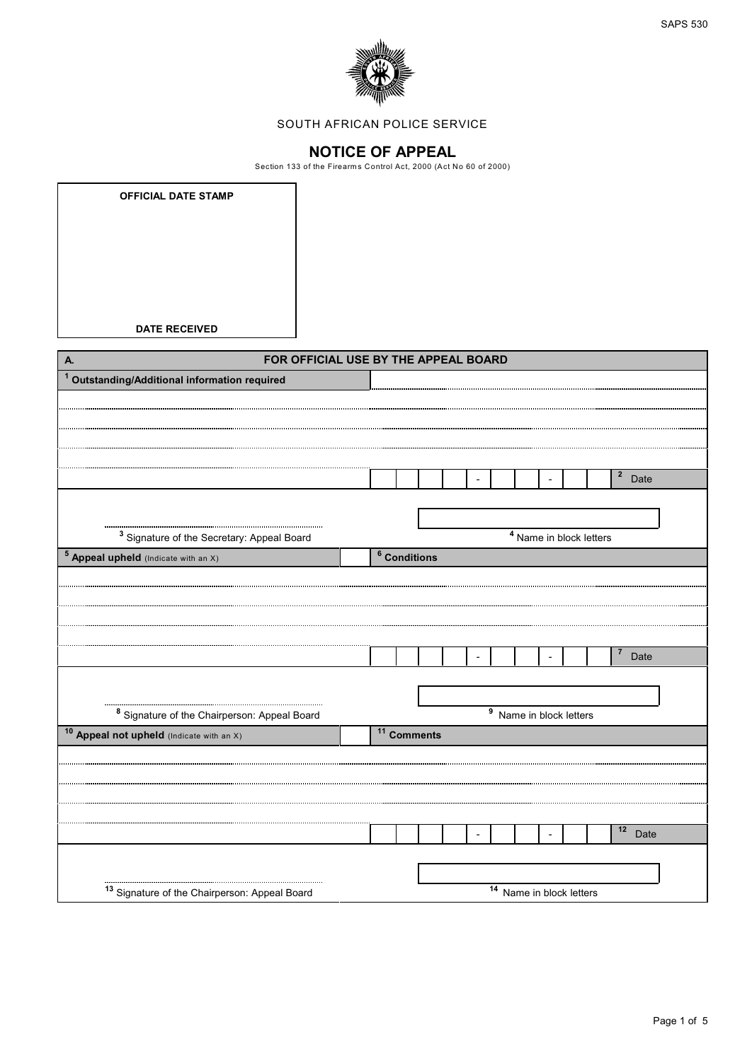



## SOUTH AFRICAN POLICE SERVICE

**NOTICE OF APPEAL**<br>Section 133 of the Firearms Control Act, 2000 (Act No 60 of 2000)

| <b>DATE RECEIVED</b><br>FOR OFFICIAL USE BY THE APPEAL BOARD<br>A.<br><sup>1</sup> Outstanding/Additional information required<br>$2$ Date<br>$\overline{\phantom{a}}$<br><sup>3</sup> Signature of the Secretary: Appeal Board<br>$\overline{4}$ Name in block letters<br>$\overline{\textbf{5}}$ Appeal upheld (Indicate with an X)<br>$6$ Conditions<br>$\overline{7}$<br>Date<br>$\overline{a}$<br>$\overline{\phantom{a}}$<br>$\overline{\text{9}}$ Name in block letters<br><sup>8</sup> Signature of the Chairperson: Appeal Board<br>10 Appeal not upheld (Indicate with an X)<br>$11$ Comments<br>$12$ Date<br>$\frac{14}{14}$ Name in block letters<br><sup>13</sup> Signature of the Chairperson: Appeal Board | <b>OFFICIAL DATE STAMP</b> |  |  |  |  |  |  |  |
|---------------------------------------------------------------------------------------------------------------------------------------------------------------------------------------------------------------------------------------------------------------------------------------------------------------------------------------------------------------------------------------------------------------------------------------------------------------------------------------------------------------------------------------------------------------------------------------------------------------------------------------------------------------------------------------------------------------------------|----------------------------|--|--|--|--|--|--|--|
|                                                                                                                                                                                                                                                                                                                                                                                                                                                                                                                                                                                                                                                                                                                           |                            |  |  |  |  |  |  |  |
|                                                                                                                                                                                                                                                                                                                                                                                                                                                                                                                                                                                                                                                                                                                           |                            |  |  |  |  |  |  |  |
|                                                                                                                                                                                                                                                                                                                                                                                                                                                                                                                                                                                                                                                                                                                           |                            |  |  |  |  |  |  |  |
|                                                                                                                                                                                                                                                                                                                                                                                                                                                                                                                                                                                                                                                                                                                           |                            |  |  |  |  |  |  |  |
|                                                                                                                                                                                                                                                                                                                                                                                                                                                                                                                                                                                                                                                                                                                           |                            |  |  |  |  |  |  |  |
|                                                                                                                                                                                                                                                                                                                                                                                                                                                                                                                                                                                                                                                                                                                           |                            |  |  |  |  |  |  |  |
|                                                                                                                                                                                                                                                                                                                                                                                                                                                                                                                                                                                                                                                                                                                           |                            |  |  |  |  |  |  |  |
|                                                                                                                                                                                                                                                                                                                                                                                                                                                                                                                                                                                                                                                                                                                           |                            |  |  |  |  |  |  |  |
|                                                                                                                                                                                                                                                                                                                                                                                                                                                                                                                                                                                                                                                                                                                           |                            |  |  |  |  |  |  |  |
|                                                                                                                                                                                                                                                                                                                                                                                                                                                                                                                                                                                                                                                                                                                           |                            |  |  |  |  |  |  |  |
|                                                                                                                                                                                                                                                                                                                                                                                                                                                                                                                                                                                                                                                                                                                           |                            |  |  |  |  |  |  |  |
|                                                                                                                                                                                                                                                                                                                                                                                                                                                                                                                                                                                                                                                                                                                           |                            |  |  |  |  |  |  |  |
|                                                                                                                                                                                                                                                                                                                                                                                                                                                                                                                                                                                                                                                                                                                           |                            |  |  |  |  |  |  |  |
|                                                                                                                                                                                                                                                                                                                                                                                                                                                                                                                                                                                                                                                                                                                           |                            |  |  |  |  |  |  |  |
|                                                                                                                                                                                                                                                                                                                                                                                                                                                                                                                                                                                                                                                                                                                           |                            |  |  |  |  |  |  |  |
|                                                                                                                                                                                                                                                                                                                                                                                                                                                                                                                                                                                                                                                                                                                           |                            |  |  |  |  |  |  |  |
|                                                                                                                                                                                                                                                                                                                                                                                                                                                                                                                                                                                                                                                                                                                           |                            |  |  |  |  |  |  |  |
|                                                                                                                                                                                                                                                                                                                                                                                                                                                                                                                                                                                                                                                                                                                           |                            |  |  |  |  |  |  |  |
|                                                                                                                                                                                                                                                                                                                                                                                                                                                                                                                                                                                                                                                                                                                           |                            |  |  |  |  |  |  |  |
|                                                                                                                                                                                                                                                                                                                                                                                                                                                                                                                                                                                                                                                                                                                           |                            |  |  |  |  |  |  |  |
|                                                                                                                                                                                                                                                                                                                                                                                                                                                                                                                                                                                                                                                                                                                           |                            |  |  |  |  |  |  |  |
|                                                                                                                                                                                                                                                                                                                                                                                                                                                                                                                                                                                                                                                                                                                           |                            |  |  |  |  |  |  |  |
|                                                                                                                                                                                                                                                                                                                                                                                                                                                                                                                                                                                                                                                                                                                           |                            |  |  |  |  |  |  |  |
|                                                                                                                                                                                                                                                                                                                                                                                                                                                                                                                                                                                                                                                                                                                           |                            |  |  |  |  |  |  |  |
|                                                                                                                                                                                                                                                                                                                                                                                                                                                                                                                                                                                                                                                                                                                           |                            |  |  |  |  |  |  |  |
|                                                                                                                                                                                                                                                                                                                                                                                                                                                                                                                                                                                                                                                                                                                           |                            |  |  |  |  |  |  |  |
|                                                                                                                                                                                                                                                                                                                                                                                                                                                                                                                                                                                                                                                                                                                           |                            |  |  |  |  |  |  |  |
|                                                                                                                                                                                                                                                                                                                                                                                                                                                                                                                                                                                                                                                                                                                           |                            |  |  |  |  |  |  |  |
|                                                                                                                                                                                                                                                                                                                                                                                                                                                                                                                                                                                                                                                                                                                           |                            |  |  |  |  |  |  |  |
|                                                                                                                                                                                                                                                                                                                                                                                                                                                                                                                                                                                                                                                                                                                           |                            |  |  |  |  |  |  |  |
|                                                                                                                                                                                                                                                                                                                                                                                                                                                                                                                                                                                                                                                                                                                           |                            |  |  |  |  |  |  |  |
|                                                                                                                                                                                                                                                                                                                                                                                                                                                                                                                                                                                                                                                                                                                           |                            |  |  |  |  |  |  |  |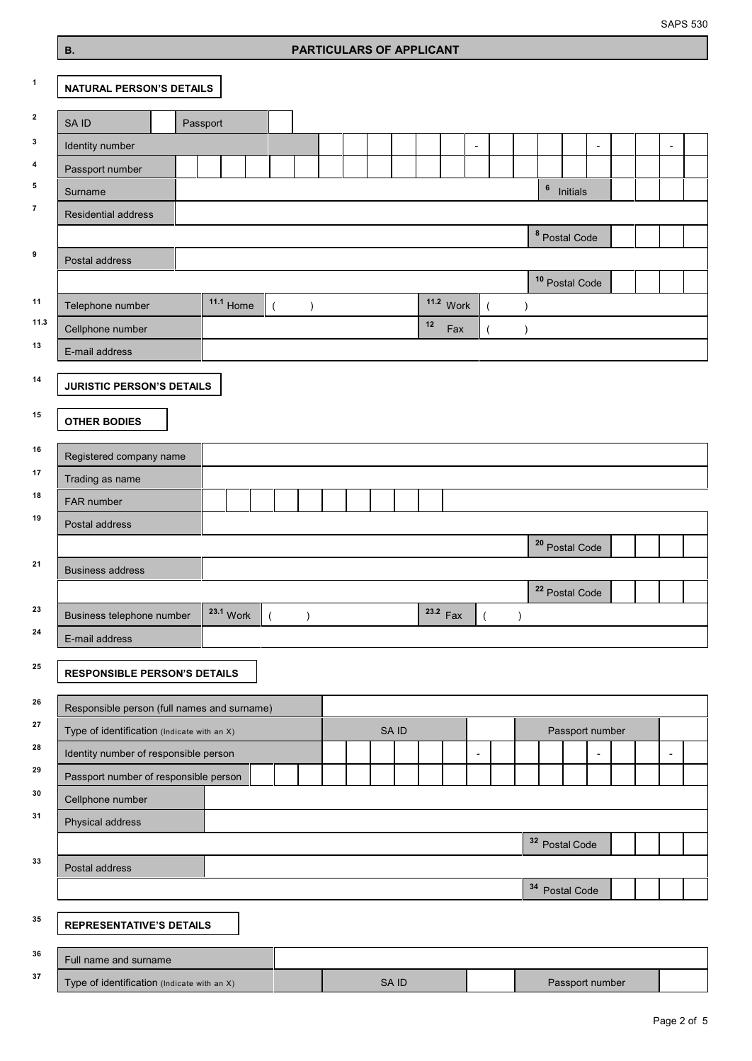SAPS 530

## **PARTICULARS OF APPLICANT**

| $\mathbf{1}$            | <b>NATURAL PERSON'S DETAILS</b>                                                            |             |           |  |       |    |            |                          |           |                           |                       |   |  |                          |  |
|-------------------------|--------------------------------------------------------------------------------------------|-------------|-----------|--|-------|----|------------|--------------------------|-----------|---------------------------|-----------------------|---|--|--------------------------|--|
| $\mathbf{2}$            | SA ID                                                                                      | Passport    |           |  |       |    |            |                          |           |                           |                       |   |  |                          |  |
| $\mathbf 3$             | Identity number                                                                            |             |           |  |       |    |            |                          |           |                           |                       | ٠ |  |                          |  |
| $\overline{\mathbf{4}}$ | Passport number                                                                            |             |           |  |       |    |            |                          |           |                           |                       |   |  |                          |  |
| 5                       | Surname                                                                                    |             |           |  |       |    |            |                          |           |                           | <sup>6</sup> Initials |   |  |                          |  |
| $\overline{7}$          | Residential address                                                                        |             |           |  |       |    |            |                          |           |                           |                       |   |  |                          |  |
|                         |                                                                                            |             |           |  |       |    |            |                          |           | <sup>8</sup> Postal Code  |                       |   |  |                          |  |
| 9                       | Postal address                                                                             |             |           |  |       |    |            |                          |           |                           |                       |   |  |                          |  |
|                         |                                                                                            |             |           |  |       |    |            |                          |           | <sup>10</sup> Postal Code |                       |   |  |                          |  |
| 11                      | Telephone number                                                                           | $11.1$ Home | $\lambda$ |  |       |    | 11.2 Work  | $\overline{(\ }$         | $\lambda$ |                           |                       |   |  |                          |  |
| 11.3                    | Cellphone number                                                                           |             |           |  |       | 12 | Fax        | $\overline{\phantom{a}}$ | $\lambda$ |                           |                       |   |  |                          |  |
| 13                      | E-mail address                                                                             |             |           |  |       |    |            |                          |           |                           |                       |   |  |                          |  |
| 14                      |                                                                                            |             |           |  |       |    |            |                          |           |                           |                       |   |  |                          |  |
|                         | <b>JURISTIC PERSON'S DETAILS</b>                                                           |             |           |  |       |    |            |                          |           |                           |                       |   |  |                          |  |
| 15                      | <b>OTHER BODIES</b>                                                                        |             |           |  |       |    |            |                          |           |                           |                       |   |  |                          |  |
| 16                      |                                                                                            |             |           |  |       |    |            |                          |           |                           |                       |   |  |                          |  |
| 17                      | Registered company name                                                                    |             |           |  |       |    |            |                          |           |                           |                       |   |  |                          |  |
| 18                      | Trading as name                                                                            |             |           |  |       |    |            |                          |           |                           |                       |   |  |                          |  |
| 19                      | FAR number                                                                                 |             |           |  |       |    |            |                          |           |                           |                       |   |  |                          |  |
|                         | Postal address                                                                             |             |           |  |       |    |            |                          |           |                           |                       |   |  |                          |  |
| 21                      |                                                                                            |             |           |  |       |    |            |                          |           | <sup>20</sup> Postal Code |                       |   |  |                          |  |
|                         | <b>Business address</b>                                                                    |             |           |  |       |    |            |                          |           |                           |                       |   |  |                          |  |
| 23                      |                                                                                            |             |           |  |       |    |            |                          |           | <sup>22</sup> Postal Code |                       |   |  |                          |  |
| 24                      | Business telephone number                                                                  | 23.1 Work   | $\lambda$ |  |       |    | $23.2$ Fax |                          | $\lambda$ |                           |                       |   |  |                          |  |
|                         | E-mail address                                                                             |             |           |  |       |    |            |                          |           |                           |                       |   |  |                          |  |
| 25                      | <b>RESPONSIBLE PERSON'S DETAILS</b>                                                        |             |           |  |       |    |            |                          |           |                           |                       |   |  |                          |  |
| 26                      |                                                                                            |             |           |  |       |    |            |                          |           |                           |                       |   |  |                          |  |
| 27                      | Responsible person (full names and surname)<br>Type of identification (Indicate with an X) |             |           |  | SA ID |    |            |                          |           |                           | Passport number       |   |  |                          |  |
| 28                      | Identity number of responsible person                                                      |             |           |  |       |    |            |                          |           |                           |                       |   |  | $\overline{\phantom{a}}$ |  |
| 29                      | Passport number of responsible person                                                      |             |           |  |       |    |            |                          |           |                           |                       |   |  |                          |  |
| 30                      | Cellphone number                                                                           |             |           |  |       |    |            |                          |           |                           |                       |   |  |                          |  |
| 31                      | Physical address                                                                           |             |           |  |       |    |            |                          |           |                           |                       |   |  |                          |  |
|                         |                                                                                            |             |           |  |       |    |            |                          |           | <sup>32</sup> Postal Code |                       |   |  |                          |  |
| 33                      | Postal address                                                                             |             |           |  |       |    |            |                          |           |                           |                       |   |  |                          |  |
|                         |                                                                                            |             |           |  |       |    |            |                          |           | <sup>34</sup> Postal Code |                       |   |  |                          |  |
|                         |                                                                                            |             |           |  |       |    |            |                          |           |                           |                       |   |  |                          |  |
| 35                      | <b>REPRESENTATIVE'S DETAILS</b>                                                            |             |           |  |       |    |            |                          |           |                           |                       |   |  |                          |  |
| 36                      | Full name and surname                                                                      |             |           |  |       |    |            |                          |           |                           |                       |   |  |                          |  |
| 37                      | Type of identification (Indicate with an X)                                                |             |           |  | SA ID |    |            |                          |           |                           | Passport number       |   |  |                          |  |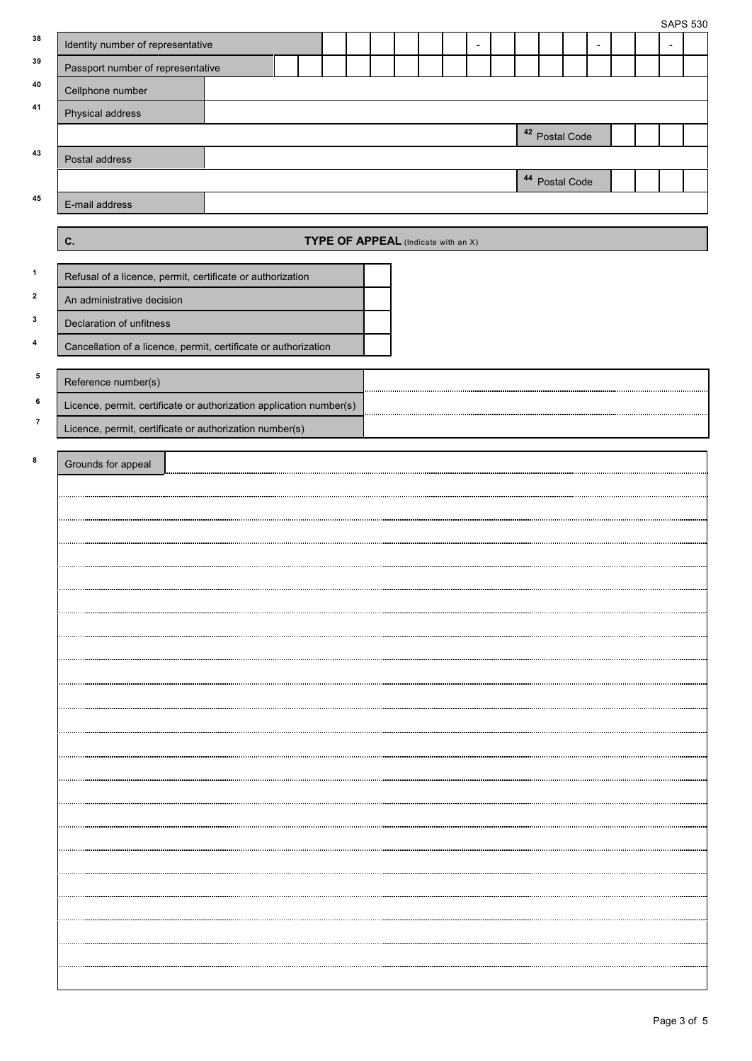|                              |                                                                     |  |                                     |  |  |                           |  |  | <b>SAPS 530</b> |  |
|------------------------------|---------------------------------------------------------------------|--|-------------------------------------|--|--|---------------------------|--|--|-----------------|--|
| 38                           | Identity number of representative                                   |  |                                     |  |  |                           |  |  |                 |  |
| 39                           | Passport number of representative                                   |  |                                     |  |  |                           |  |  |                 |  |
| 40                           | Cellphone number                                                    |  |                                     |  |  |                           |  |  |                 |  |
| 41                           | Physical address                                                    |  |                                     |  |  |                           |  |  |                 |  |
|                              |                                                                     |  |                                     |  |  | <sup>42</sup> Postal Code |  |  |                 |  |
| 43                           | Postal address                                                      |  |                                     |  |  |                           |  |  |                 |  |
|                              |                                                                     |  |                                     |  |  | <sup>44</sup> Postal Code |  |  |                 |  |
| 45                           | E-mail address                                                      |  |                                     |  |  |                           |  |  |                 |  |
|                              | C.                                                                  |  | TYPE OF APPEAL (Indicate with an X) |  |  |                           |  |  |                 |  |
| $\mathbf{1}$                 | Refusal of a licence, permit, certificate or authorization          |  |                                     |  |  |                           |  |  |                 |  |
| $\mathbf{2}$                 | An administrative decision                                          |  |                                     |  |  |                           |  |  |                 |  |
| 3                            | Declaration of unfitness                                            |  |                                     |  |  |                           |  |  |                 |  |
| 4                            | Cancellation of a licence, permit, certificate or authorization     |  |                                     |  |  |                           |  |  |                 |  |
|                              |                                                                     |  |                                     |  |  |                           |  |  |                 |  |
| ${\bf 5}$                    | Reference number(s)                                                 |  |                                     |  |  |                           |  |  |                 |  |
| 6<br>$\overline{\mathbf{r}}$ | Licence, permit, certificate or authorization application number(s) |  |                                     |  |  |                           |  |  |                 |  |
|                              | Licence, permit, certificate or authorization number(s)             |  |                                     |  |  |                           |  |  |                 |  |
| 8                            | Grounds for appeal                                                  |  |                                     |  |  |                           |  |  |                 |  |
|                              |                                                                     |  |                                     |  |  |                           |  |  |                 |  |
|                              |                                                                     |  |                                     |  |  |                           |  |  |                 |  |
|                              |                                                                     |  |                                     |  |  |                           |  |  |                 |  |
|                              |                                                                     |  |                                     |  |  |                           |  |  |                 |  |
|                              |                                                                     |  |                                     |  |  |                           |  |  |                 |  |
|                              |                                                                     |  |                                     |  |  |                           |  |  |                 |  |
|                              |                                                                     |  |                                     |  |  |                           |  |  |                 |  |
|                              |                                                                     |  |                                     |  |  |                           |  |  |                 |  |
|                              |                                                                     |  |                                     |  |  |                           |  |  |                 |  |
|                              |                                                                     |  |                                     |  |  |                           |  |  |                 |  |
|                              |                                                                     |  |                                     |  |  |                           |  |  |                 |  |
|                              |                                                                     |  |                                     |  |  |                           |  |  |                 |  |
|                              |                                                                     |  |                                     |  |  |                           |  |  |                 |  |
|                              |                                                                     |  |                                     |  |  |                           |  |  |                 |  |
|                              |                                                                     |  |                                     |  |  |                           |  |  |                 |  |
|                              |                                                                     |  |                                     |  |  |                           |  |  |                 |  |
|                              |                                                                     |  |                                     |  |  |                           |  |  |                 |  |
|                              |                                                                     |  |                                     |  |  |                           |  |  |                 |  |
|                              |                                                                     |  |                                     |  |  |                           |  |  |                 |  |
|                              |                                                                     |  |                                     |  |  |                           |  |  |                 |  |
|                              |                                                                     |  |                                     |  |  |                           |  |  |                 |  |
|                              |                                                                     |  |                                     |  |  |                           |  |  |                 |  |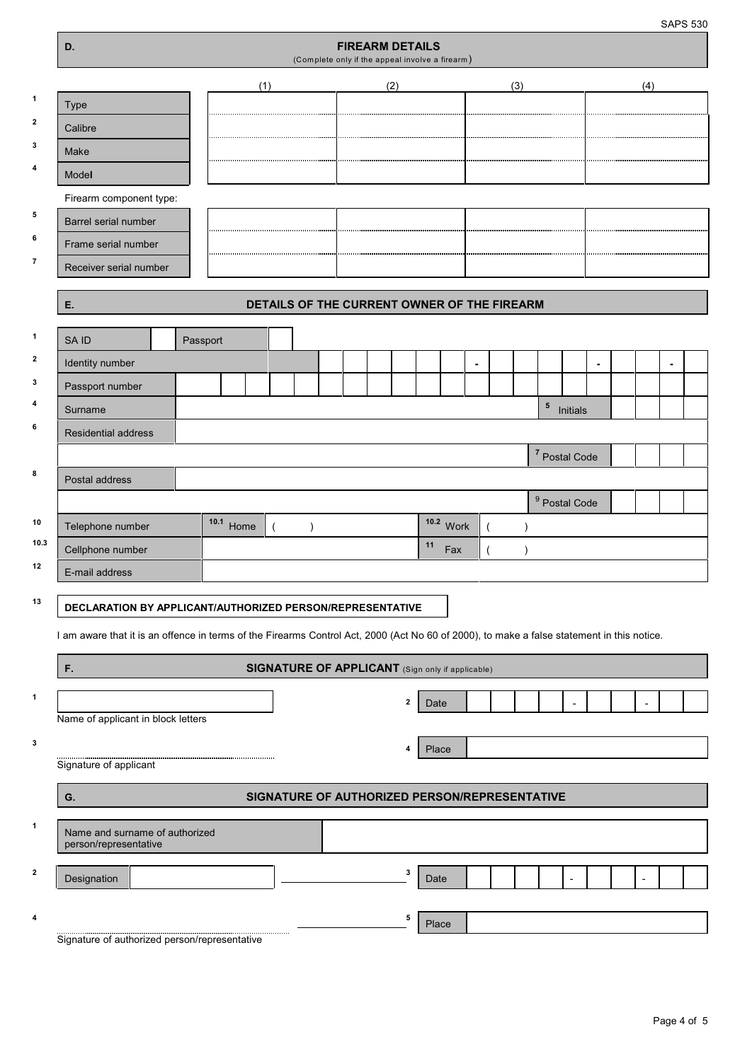SAPS 530

|                | D.                                                                                                                                         |           |                                                  | (Complete only if the appeal involve a firearm) | <b>FIREARM DETAILS</b> |              |       |           |  |            |                          |   |                |                |  |
|----------------|--------------------------------------------------------------------------------------------------------------------------------------------|-----------|--------------------------------------------------|-------------------------------------------------|------------------------|--------------|-------|-----------|--|------------|--------------------------|---|----------------|----------------|--|
|                |                                                                                                                                            | (1)       |                                                  |                                                 | (2)                    |              |       |           |  | (3)        |                          |   | (4)            |                |  |
| 1              | <b>Type</b>                                                                                                                                |           |                                                  |                                                 |                        |              |       |           |  |            |                          |   |                |                |  |
| $\mathbf{2}$   | Calibre                                                                                                                                    |           |                                                  |                                                 |                        |              |       |           |  |            |                          |   |                |                |  |
| 3              | Make                                                                                                                                       |           |                                                  |                                                 |                        |              |       |           |  |            |                          |   |                |                |  |
| 4              | Model                                                                                                                                      |           |                                                  |                                                 |                        |              |       |           |  |            |                          |   |                |                |  |
|                | Firearm component type:                                                                                                                    |           |                                                  |                                                 |                        |              |       |           |  |            |                          |   |                |                |  |
| 5              | Barrel serial number                                                                                                                       |           |                                                  |                                                 |                        |              |       |           |  |            |                          |   |                |                |  |
| 6              | Frame serial number                                                                                                                        |           |                                                  |                                                 |                        |              |       |           |  |            |                          |   |                |                |  |
| $\overline{7}$ | Receiver serial number                                                                                                                     |           |                                                  |                                                 |                        |              |       |           |  |            |                          |   |                |                |  |
|                |                                                                                                                                            |           |                                                  |                                                 |                        |              |       |           |  |            |                          |   |                |                |  |
|                | Ε.                                                                                                                                         |           | DETAILS OF THE CURRENT OWNER OF THE FIREARM      |                                                 |                        |              |       |           |  |            |                          |   |                |                |  |
| $\mathbf{1}$   | SA ID                                                                                                                                      | Passport  |                                                  |                                                 |                        |              |       |           |  |            |                          |   |                |                |  |
| $\mathbf{2}$   | Identity number                                                                                                                            |           |                                                  |                                                 |                        |              |       |           |  |            |                          | ٠ |                | $\blacksquare$ |  |
| 3              | Passport number                                                                                                                            |           |                                                  |                                                 |                        |              |       |           |  |            |                          |   |                |                |  |
| 4              | Surname                                                                                                                                    |           |                                                  |                                                 |                        |              |       |           |  | $\sqrt{5}$ | Initials                 |   |                |                |  |
| 6              | Residential address                                                                                                                        |           |                                                  |                                                 |                        |              |       |           |  |            |                          |   |                |                |  |
|                |                                                                                                                                            |           |                                                  |                                                 |                        |              |       |           |  |            | 7 Postal Code            |   |                |                |  |
| 8              | Postal address                                                                                                                             |           |                                                  |                                                 |                        |              |       |           |  |            |                          |   |                |                |  |
|                |                                                                                                                                            |           |                                                  |                                                 |                        |              |       |           |  |            | <sup>9</sup> Postal Code |   |                |                |  |
| 10             | Telephone number                                                                                                                           | 10.1 Home |                                                  | $\lambda$                                       |                        |              |       | 10.2 Work |  | $\lambda$  |                          |   |                |                |  |
| 10.3           | Cellphone number                                                                                                                           |           |                                                  |                                                 |                        |              | 11    | Fax       |  | $\lambda$  |                          |   |                |                |  |
| 12             | E-mail address                                                                                                                             |           |                                                  |                                                 |                        |              |       |           |  |            |                          |   |                |                |  |
| 13             | DECLARATION BY APPLICANT/AUTHORIZED PERSON/REPRESENTATIVE                                                                                  |           |                                                  |                                                 |                        |              |       |           |  |            |                          |   |                |                |  |
|                | I am aware that it is an offence in terms of the Firearms Control Act, 2000 (Act No 60 of 2000), to make a false statement in this notice. |           |                                                  |                                                 |                        |              |       |           |  |            |                          |   |                |                |  |
|                |                                                                                                                                            |           |                                                  |                                                 |                        |              |       |           |  |            |                          |   |                |                |  |
|                | F.                                                                                                                                         |           | SIGNATURE OF APPLICANT (Sign only if applicable) |                                                 |                        |              |       |           |  |            |                          |   |                |                |  |
| 1              |                                                                                                                                            |           |                                                  |                                                 |                        | $\mathbf{2}$ | Date  |           |  |            |                          |   |                |                |  |
|                | Name of applicant in block letters                                                                                                         |           |                                                  |                                                 |                        |              |       |           |  |            |                          |   |                |                |  |
| 3              |                                                                                                                                            |           |                                                  |                                                 |                        | 4            | Place |           |  |            |                          |   |                |                |  |
|                | Signature of applicant                                                                                                                     |           |                                                  |                                                 |                        |              |       |           |  |            |                          |   |                |                |  |
|                | G.                                                                                                                                         |           | SIGNATURE OF AUTHORIZED PERSON/REPRESENTATIVE    |                                                 |                        |              |       |           |  |            |                          |   |                |                |  |
| $\mathbf{1}$   |                                                                                                                                            |           |                                                  |                                                 |                        |              |       |           |  |            |                          |   |                |                |  |
|                | Name and surname of authorized<br>person/representative                                                                                    |           |                                                  |                                                 |                        |              |       |           |  |            |                          |   |                |                |  |
| $\mathbf{2}$   |                                                                                                                                            |           |                                                  |                                                 |                        | 3            |       |           |  |            |                          |   |                |                |  |
|                | Designation                                                                                                                                |           |                                                  |                                                 |                        |              | Date  |           |  |            |                          |   | $\overline{a}$ |                |  |
| 4              |                                                                                                                                            |           |                                                  |                                                 |                        | 5            | Place |           |  |            |                          |   |                |                |  |
|                |                                                                                                                                            |           |                                                  |                                                 |                        |              |       |           |  |            |                          |   |                |                |  |

Signature of authorized person/representative